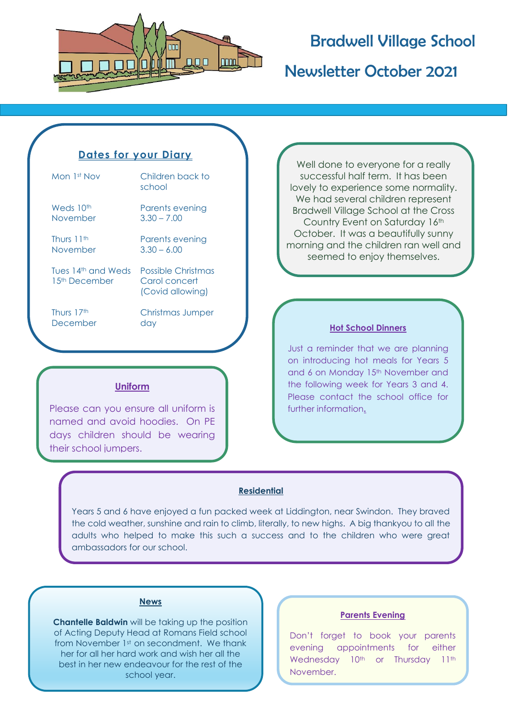

## Bradwell Village School

Newsletter October 2021

### **Dates for your Diary**

| Mon 1st Nov                                      | Children back to<br>school                              |
|--------------------------------------------------|---------------------------------------------------------|
| Weds 10 <sup>th</sup>                            | Parents evening                                         |
| November                                         | $3.30 - 7.00$                                           |
| Thurs 11 <sup>th</sup>                           | Parents evening                                         |
| November                                         | $3.30 - 6.00$                                           |
| Tues 14th and Weds<br>1.5 <sup>th</sup> December | Possible Christmas<br>Carol concert<br>(Covid allowing) |

Thurs 17th December Christmas Jumper day

### **Uniform**

Please can you ensure all uniform is named and avoid hoodies. On PE days children should be wearing their school jumpers.

Well done to everyone for a really successful half term. It has been lovely to experience some normality. We had several children represent Bradwell Village School at the Cross Country Event on Saturday 16th October. It was a beautifully sunny morning and the children ran well and seemed to enjoy themselves.

#### **Hot School Dinners**

Just a reminder that we are planning on introducing hot meals for Years 5 and 6 on Monday 15<sup>th</sup> November and the following week for Years 3 and 4. Please contact the school office for further information**.**

### **Residential**

Years 5 and 6 have enjoyed a fun packed week at Liddington, near Swindon. They braved the cold weather, sunshine and rain to climb, literally, to new highs. A big thankyou to all the adults who helped to make this such a success and to the children who were great ambassadors for our school.



**Chantelle Baldwin** will be taking up the position of Acting Deputy Head at Romans Field school from November 1st on secondment. We thank her for all her hard work and wish her all the best in her new endeavour for the rest of the school year.

#### **Parents Evening**

Don't forget to book your parents evening appointments for either Wednesday 10<sup>th</sup> or Thursday 11<sup>th</sup> November.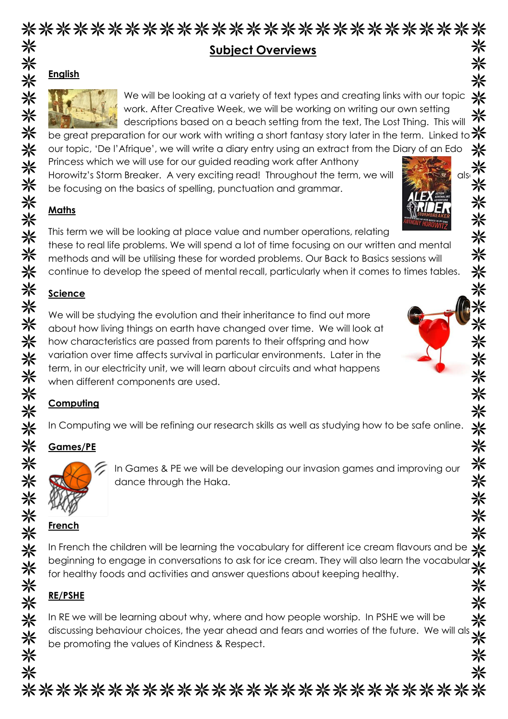### \*\*\*\*\*\*\*\*\*\*\*\*\*\*\*\*\*\*\*\*\*\*\*\*\*\*\* 米 **Subject Overviews**

### **English**



We will be looking at a variety of text types and creating links with our topic ⋇ work. After Creative Week, we will be working on writing our own setting 米 descriptions based on a beach setting from the text, The Lost Thing. This will

米

兴

米

米

米

米

米 米

米

米

米

米

☀

☀

米

米

米 米

⋇

be great preparation for our work with writing a short fantasy story later in the term. Linked to \* our topic, 'De l'Afrique', we will write a diary entry using an extract from the Diary of an Edo Princess which we will use for our guided reading work after Anthony Princess which we will use for our guided reading work different antihony<br>Horowitz's Storm Breaker. A very exciting read! Throughout the term, we will also to cusing on the basics of spelling punctuation and arammar.

be focusing on the basics of spelling, punctuation and grammar.

### **Maths**

This term we will be looking at place value and number operations, relating these to real life problems. We will spend a lot of time focusing on our written and mental methods and will be utilising these for worded problems. Our Back to Basics sessions will continue to develop the speed of mental recall, particularly when it comes to times tables.

## **Science**

We will be studying the evolution and their inheritance to find out more about how living things on earth have changed over time. We will look at how characteristics are passed from parents to their offspring and how variation over time affects survival in particular environments. Later in the term, in our electricity unit, we will learn about circuits and what happens when different components are used.

## **Computing**

In Computing we will be refining our research skills as well as studying how to be safe online.

# **Games/PE**



7. In Games & PE we will be developing our invasion games and improving our dance through the Haka.

# **French**

米 In French the children will be learning the vocabulary for different ice cream flavours and be  $\frac{1}{2}$ <br>beginning to engage in conversations to ask for ice cream. They will also learn the vocabular  $\frac{1}{2}$ In French the children will be learning the vocabulary for different ice cream flavours and be for healthy foods and activities and answer questions about keeping healthy. 米

# **RE/PSHE**

米 In RE we will be learning about why, where and how people worship. In PSHE we will be discussing behaviour choices, the year ahead and fears and worries of the future. We will als be promoting the values of Kindness & Respect.

⋇ \*\*\*\*\*\*\*\*\*\*\*\*\*\*\*\*\*\*\*\*\*\*\*\*\*\*\*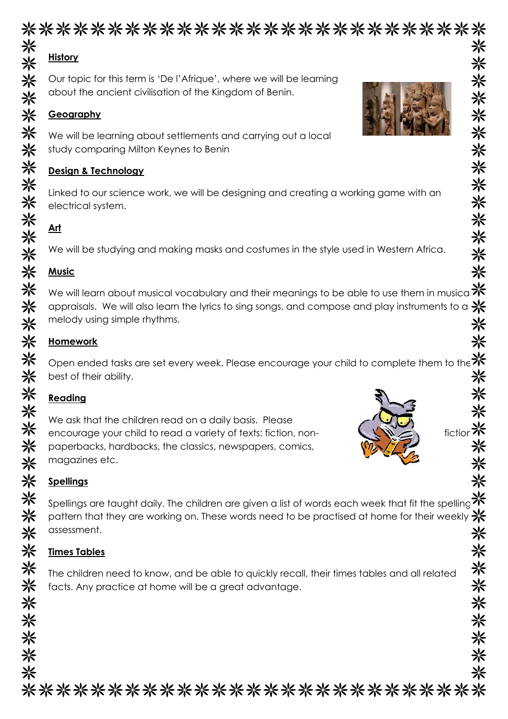